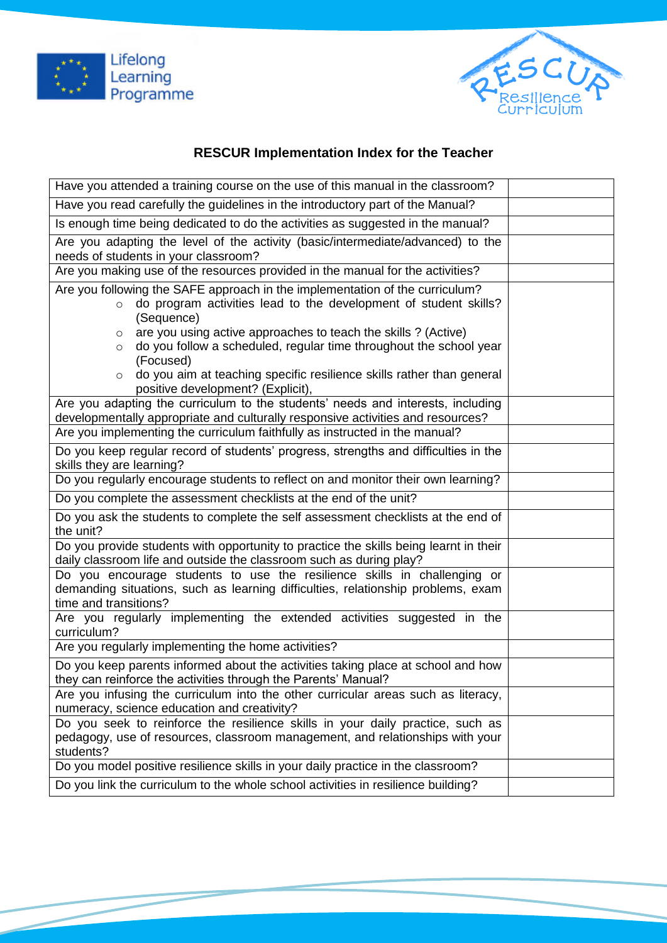



## **RESCUR Implementation Index for the Teacher**

| Have you attended a training course on the use of this manual in the classroom?                                                                                                                                                                                                                  |  |
|--------------------------------------------------------------------------------------------------------------------------------------------------------------------------------------------------------------------------------------------------------------------------------------------------|--|
| Have you read carefully the guidelines in the introductory part of the Manual?                                                                                                                                                                                                                   |  |
| Is enough time being dedicated to do the activities as suggested in the manual?                                                                                                                                                                                                                  |  |
| Are you adapting the level of the activity (basic/intermediate/advanced) to the<br>needs of students in your classroom?                                                                                                                                                                          |  |
| Are you making use of the resources provided in the manual for the activities?                                                                                                                                                                                                                   |  |
| Are you following the SAFE approach in the implementation of the curriculum?<br>do program activities lead to the development of student skills?<br>$\circ$<br>(Sequence)                                                                                                                        |  |
| are you using active approaches to teach the skills ? (Active)<br>$\circ$<br>do you follow a scheduled, regular time throughout the school year<br>$\circ$<br>(Focused)<br>do you aim at teaching specific resilience skills rather than general<br>$\circ$<br>positive development? (Explicit), |  |
| Are you adapting the curriculum to the students' needs and interests, including<br>developmentally appropriate and culturally responsive activities and resources?                                                                                                                               |  |
| Are you implementing the curriculum faithfully as instructed in the manual?                                                                                                                                                                                                                      |  |
| Do you keep regular record of students' progress, strengths and difficulties in the<br>skills they are learning?                                                                                                                                                                                 |  |
| Do you regularly encourage students to reflect on and monitor their own learning?                                                                                                                                                                                                                |  |
| Do you complete the assessment checklists at the end of the unit?                                                                                                                                                                                                                                |  |
| Do you ask the students to complete the self assessment checklists at the end of<br>the unit?                                                                                                                                                                                                    |  |
| Do you provide students with opportunity to practice the skills being learnt in their<br>daily classroom life and outside the classroom such as during play?                                                                                                                                     |  |
| Do you encourage students to use the resilience skills in challenging or<br>demanding situations, such as learning difficulties, relationship problems, exam<br>time and transitions?                                                                                                            |  |
| Are you regularly implementing the extended activities suggested in the<br>curriculum?                                                                                                                                                                                                           |  |
| Are you regularly implementing the home activities?                                                                                                                                                                                                                                              |  |
| Do you keep parents informed about the activities taking place at school and how<br>they can reinforce the activities through the Parents' Manual?                                                                                                                                               |  |
| Are you infusing the curriculum into the other curricular areas such as literacy,<br>numeracy, science education and creativity?                                                                                                                                                                 |  |
| Do you seek to reinforce the resilience skills in your daily practice, such as<br>pedagogy, use of resources, classroom management, and relationships with your<br>students?                                                                                                                     |  |
| Do you model positive resilience skills in your daily practice in the classroom?                                                                                                                                                                                                                 |  |
| Do you link the curriculum to the whole school activities in resilience building?                                                                                                                                                                                                                |  |